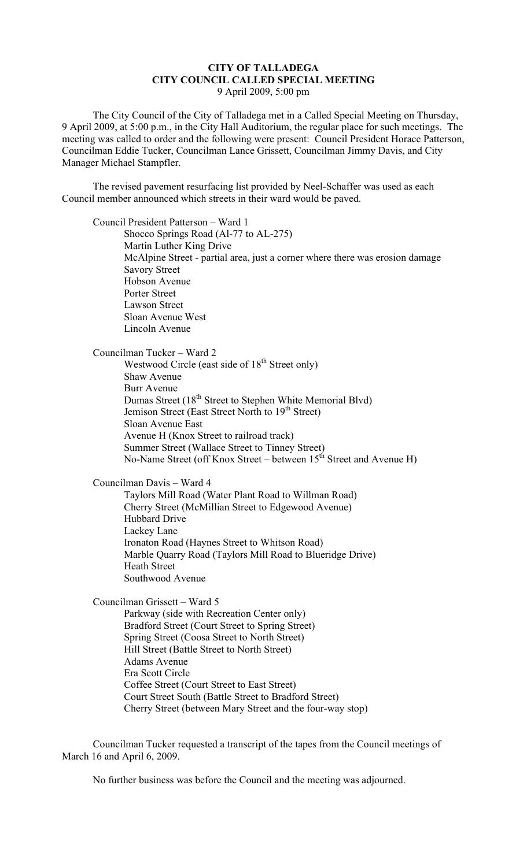## **CITY OF TALLADEGA CITY COUNCIL CALLED SPECIAL MEETING** 9 April 2009, 5:00 pm

The City Council of the City of Talladega met in a Called Special Meeting on Thursday, 9 April 2009, at 5:00 p.m., in the City Hall Auditorium, the regular place for such meetings. The meeting was called to order and the following were present: Council President Horace Patterson, Councilman Eddie Tucker, Councilman Lance Grissett, Councilman Jimmy Davis, and City Manager Michael Stampfler.

The revised pavement resurfacing list provided by Neel-Schaffer was used as each Council member announced which streets in their ward would be paved.

Council President Patterson – Ward 1 Shocco Springs Road (Al-77 to AL-275) Martin Luther King Drive McAlpine Street - partial area, just a corner where there was erosion damage Savory Street Hobson Avenue Porter Street Lawson Street Sloan Avenue West Lincoln Avenue

Councilman Tucker – Ward 2 Westwood Circle (east side of  $18<sup>th</sup>$  Street only) Shaw Avenue Burr Avenue Dumas Street (18<sup>th</sup> Street to Stephen White Memorial Blvd) Jemison Street (East Street North to 19<sup>th</sup> Street) Sloan Avenue East Avenue H (Knox Street to railroad track) Summer Street (Wallace Street to Tinney Street) No-Name Street (off Knox Street – between  $15<sup>th</sup>$  Street and Avenue H)

Councilman Davis – Ward 4

Taylors Mill Road (Water Plant Road to Willman Road) Cherry Street (McMillian Street to Edgewood Avenue) Hubbard Drive Lackey Lane Ironaton Road (Haynes Street to Whitson Road) Marble Quarry Road (Taylors Mill Road to Blueridge Drive) Heath Street Southwood Avenue

Councilman Grissett – Ward 5

Parkway (side with Recreation Center only) Bradford Street (Court Street to Spring Street) Spring Street (Coosa Street to North Street) Hill Street (Battle Street to North Street) Adams Avenue Era Scott Circle Coffee Street (Court Street to East Street) Court Street South (Battle Street to Bradford Street) Cherry Street (between Mary Street and the four-way stop)

Councilman Tucker requested a transcript of the tapes from the Council meetings of March 16 and April 6, 2009.

No further business was before the Council and the meeting was adjourned.